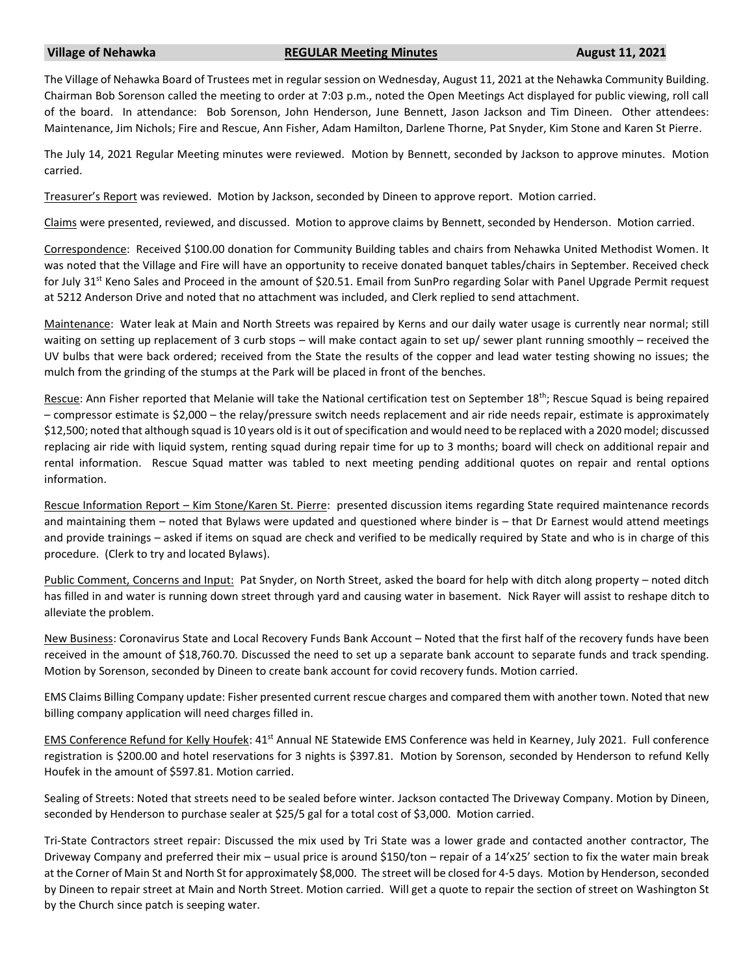## **Village of Nehawka REGULAR Meeting Minutes August 11, 2021**

The Village of Nehawka Board of Trustees met in regular session on Wednesday, August 11, 2021 at the Nehawka Community Building. Chairman Bob Sorenson called the meeting to order at 7:03 p.m., noted the Open Meetings Act displayed for public viewing, roll call of the board. In attendance: Bob Sorenson, John Henderson, June Bennett, Jason Jackson and Tim Dineen. Other attendees: Maintenance, Jim Nichols; Fire and Rescue, Ann Fisher, Adam Hamilton, Darlene Thorne, Pat Snyder, Kim Stone and Karen St Pierre.

The July 14, 2021 Regular Meeting minutes were reviewed. Motion by Bennett, seconded by Jackson to approve minutes. Motion carried.

Treasurer's Report was reviewed. Motion by Jackson, seconded by Dineen to approve report. Motion carried.

Claims were presented, reviewed, and discussed. Motion to approve claims by Bennett, seconded by Henderson. Motion carried.

Correspondence: Received \$100.00 donation for Community Building tables and chairs from Nehawka United Methodist Women. It was noted that the Village and Fire will have an opportunity to receive donated banquet tables/chairs in September. Received check for July 31<sup>st</sup> Keno Sales and Proceed in the amount of \$20.51. Email from SunPro regarding Solar with Panel Upgrade Permit request at 5212 Anderson Drive and noted that no attachment was included, and Clerk replied to send attachment.

Maintenance: Water leak at Main and North Streets was repaired by Kerns and our daily water usage is currently near normal; still waiting on setting up replacement of 3 curb stops – will make contact again to set up/ sewer plant running smoothly – received the UV bulbs that were back ordered; received from the State the results of the copper and lead water testing showing no issues; the mulch from the grinding of the stumps at the Park will be placed in front of the benches.

Rescue: Ann Fisher reported that Melanie will take the National certification test on September 18<sup>th</sup>; Rescue Squad is being repaired – compressor estimate is \$2,000 – the relay/pressure switch needs replacement and air ride needs repair, estimate is approximately \$12,500; noted that although squad is 10 years old is it out of specification and would need to be replaced with a 2020 model; discussed replacing air ride with liquid system, renting squad during repair time for up to 3 months; board will check on additional repair and rental information. Rescue Squad matter was tabled to next meeting pending additional quotes on repair and rental options information.

Rescue Information Report – Kim Stone/Karen St. Pierre: presented discussion items regarding State required maintenance records and maintaining them – noted that Bylaws were updated and questioned where binder is – that Dr Earnest would attend meetings and provide trainings – asked if items on squad are check and verified to be medically required by State and who is in charge of this procedure. (Clerk to try and located Bylaws).

Public Comment, Concerns and Input: Pat Snyder, on North Street, asked the board for help with ditch along property – noted ditch has filled in and water is running down street through yard and causing water in basement. Nick Rayer will assist to reshape ditch to alleviate the problem.

New Business: Coronavirus State and Local Recovery Funds Bank Account – Noted that the first half of the recovery funds have been received in the amount of \$18,760.70. Discussed the need to set up a separate bank account to separate funds and track spending. Motion by Sorenson, seconded by Dineen to create bank account for covid recovery funds. Motion carried.

EMS Claims Billing Company update: Fisher presented current rescue charges and compared them with another town. Noted that new billing company application will need charges filled in.

EMS Conference Refund for Kelly Houfek: 41<sup>st</sup> Annual NE Statewide EMS Conference was held in Kearney, July 2021. Full conference registration is \$200.00 and hotel reservations for 3 nights is \$397.81. Motion by Sorenson, seconded by Henderson to refund Kelly Houfek in the amount of \$597.81. Motion carried.

Sealing of Streets: Noted that streets need to be sealed before winter. Jackson contacted The Driveway Company. Motion by Dineen, seconded by Henderson to purchase sealer at \$25/5 gal for a total cost of \$3,000. Motion carried.

Tri-State Contractors street repair: Discussed the mix used by Tri State was a lower grade and contacted another contractor, The Driveway Company and preferred their mix – usual price is around \$150/ton – repair of a 14'x25' section to fix the water main break at the Corner of Main St and North St for approximately \$8,000. The street will be closed for 4-5 days. Motion by Henderson, seconded by Dineen to repair street at Main and North Street. Motion carried. Will get a quote to repair the section of street on Washington St by the Church since patch is seeping water.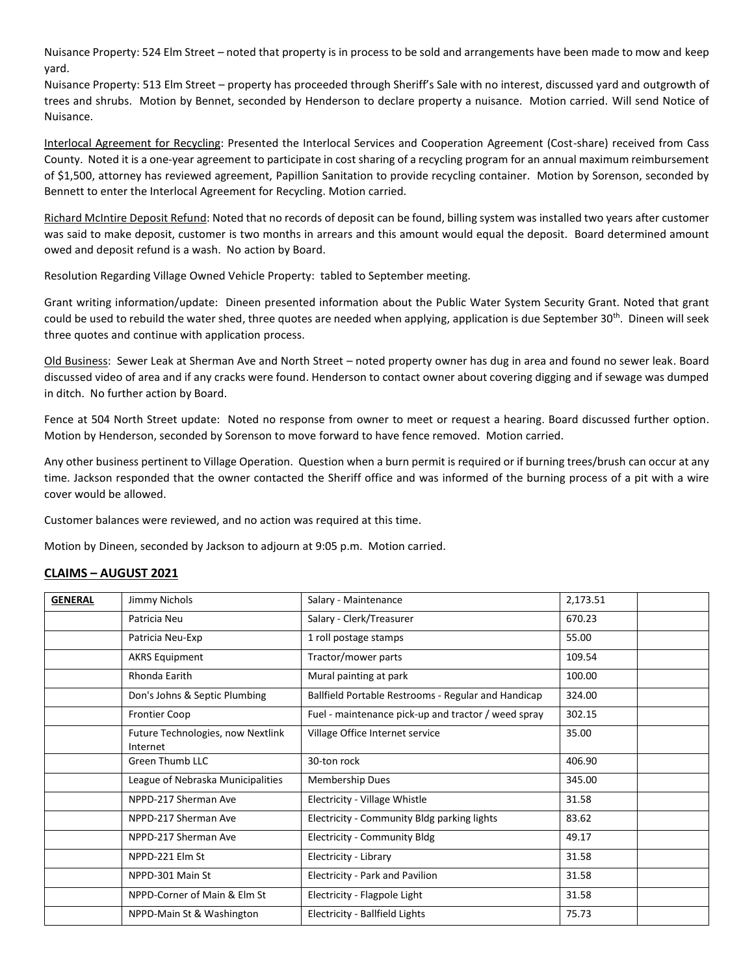Nuisance Property: 524 Elm Street – noted that property is in process to be sold and arrangements have been made to mow and keep yard.

Nuisance Property: 513 Elm Street – property has proceeded through Sheriff's Sale with no interest, discussed yard and outgrowth of trees and shrubs. Motion by Bennet, seconded by Henderson to declare property a nuisance. Motion carried. Will send Notice of Nuisance.

Interlocal Agreement for Recycling: Presented the Interlocal Services and Cooperation Agreement (Cost-share) received from Cass County. Noted it is a one-year agreement to participate in cost sharing of a recycling program for an annual maximum reimbursement of \$1,500, attorney has reviewed agreement, Papillion Sanitation to provide recycling container. Motion by Sorenson, seconded by Bennett to enter the Interlocal Agreement for Recycling. Motion carried.

Richard McIntire Deposit Refund: Noted that no records of deposit can be found, billing system was installed two years after customer was said to make deposit, customer is two months in arrears and this amount would equal the deposit. Board determined amount owed and deposit refund is a wash. No action by Board.

Resolution Regarding Village Owned Vehicle Property: tabled to September meeting.

Grant writing information/update: Dineen presented information about the Public Water System Security Grant. Noted that grant could be used to rebuild the water shed, three quotes are needed when applying, application is due September 30<sup>th</sup>. Dineen will seek three quotes and continue with application process.

Old Business: Sewer Leak at Sherman Ave and North Street – noted property owner has dug in area and found no sewer leak. Board discussed video of area and if any cracks were found. Henderson to contact owner about covering digging and if sewage was dumped in ditch. No further action by Board.

Fence at 504 North Street update: Noted no response from owner to meet or request a hearing. Board discussed further option. Motion by Henderson, seconded by Sorenson to move forward to have fence removed. Motion carried.

Any other business pertinent to Village Operation. Question when a burn permit is required or if burning trees/brush can occur at any time. Jackson responded that the owner contacted the Sheriff office and was informed of the burning process of a pit with a wire cover would be allowed.

Customer balances were reviewed, and no action was required at this time.

Motion by Dineen, seconded by Jackson to adjourn at 9:05 p.m. Motion carried.

## **CLAIMS – AUGUST 2021**

| <b>GENERAL</b> | Jimmy Nichols                                 | Salary - Maintenance                                | 2,173.51 |
|----------------|-----------------------------------------------|-----------------------------------------------------|----------|
|                | Patricia Neu                                  | Salary - Clerk/Treasurer                            | 670.23   |
|                | Patricia Neu-Exp                              | 1 roll postage stamps                               | 55.00    |
|                | <b>AKRS Equipment</b>                         | Tractor/mower parts                                 | 109.54   |
|                | Rhonda Earith                                 | Mural painting at park                              | 100.00   |
|                | Don's Johns & Septic Plumbing                 | Ballfield Portable Restrooms - Regular and Handicap | 324.00   |
|                | <b>Frontier Coop</b>                          | Fuel - maintenance pick-up and tractor / weed spray | 302.15   |
|                | Future Technologies, now Nextlink<br>Internet | Village Office Internet service                     | 35.00    |
|                | <b>Green Thumb LLC</b>                        | 30-ton rock                                         | 406.90   |
|                | League of Nebraska Municipalities             | <b>Membership Dues</b>                              | 345.00   |
|                | NPPD-217 Sherman Ave                          | Electricity - Village Whistle                       | 31.58    |
|                | NPPD-217 Sherman Ave                          | Electricity - Community Bldg parking lights         | 83.62    |
|                | NPPD-217 Sherman Ave                          | Electricity - Community Bldg                        | 49.17    |
|                | NPPD-221 Elm St                               | Electricity - Library                               | 31.58    |
|                | NPPD-301 Main St                              | Electricity - Park and Pavilion                     | 31.58    |
|                | NPPD-Corner of Main & Elm St                  | Electricity - Flagpole Light                        | 31.58    |
|                | NPPD-Main St & Washington                     | <b>Electricity - Ballfield Lights</b>               | 75.73    |